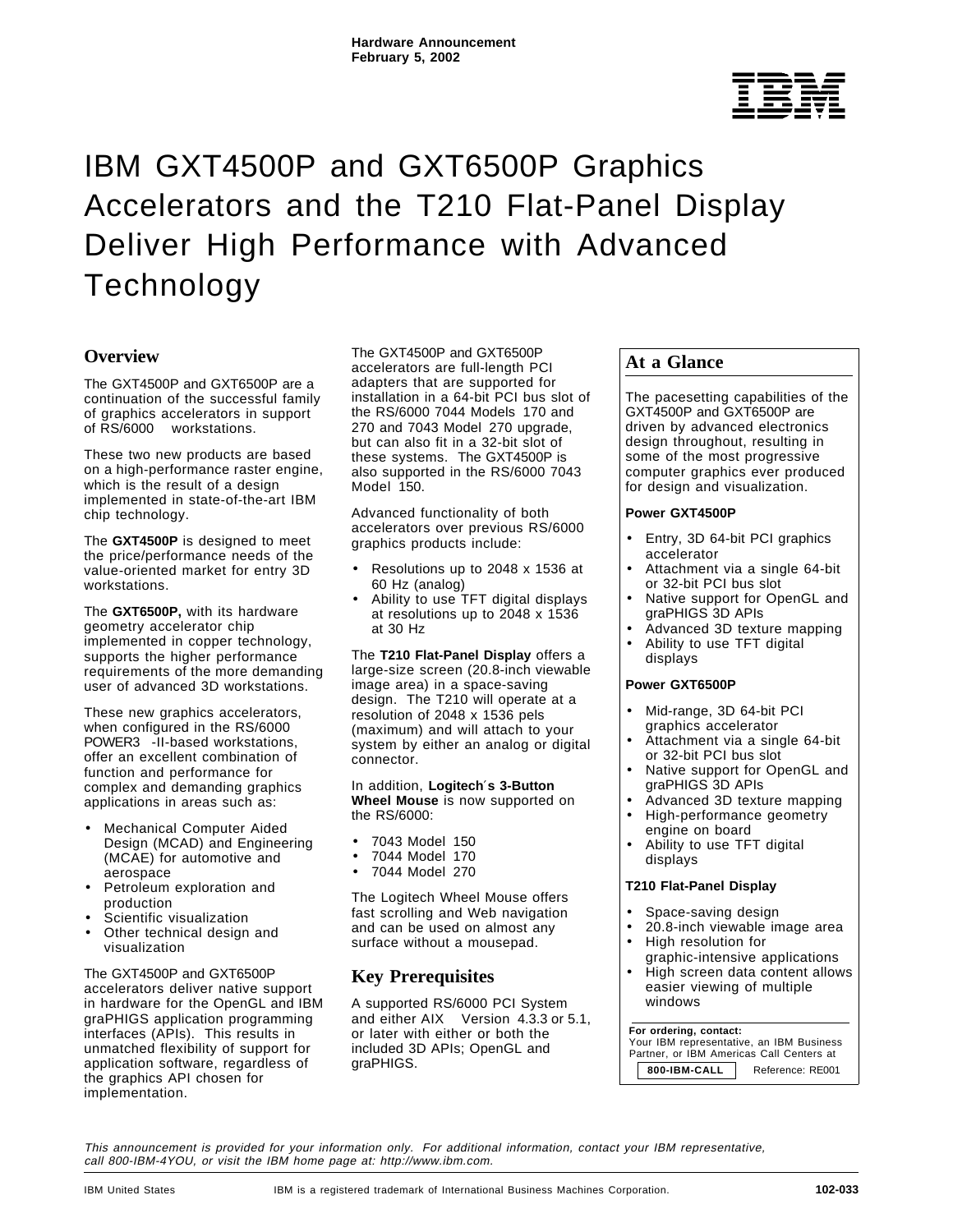# $^{\circledR}$

# IBM GXT4500P and GXT6500P Graphics Accelerators and the T210 Flat-Panel Display Deliver High Performance with Advanced Technology

# **Overview**

The GXT4500P and GXT6500P are a continuation of the successful family of graphics accelerators in support of RS/6000<sup>®</sup> workstations.

These two new products are based on a high-performance raster engine, which is the result of a design implemented in state-of-the-art IBM chip technology.

The **GXT4500P** is designed to meet the price/performance needs of the value-oriented market for entry 3D workstations.

The **GXT6500P,** with its hardware geometry accelerator chip implemented in copper technology, supports the higher performance requirements of the more demanding user of advanced 3D workstations.

These new graphics accelerators, when configured in the RS/6000 POWER3<sup>™</sup>-II-based workstations, offer an excellent combination of function and performance for complex and demanding graphics applications in areas such as:

- Mechanical Computer Aided Design (MCAD) and Engineering (MCAE) for automotive and aerospace
- Petroleum exploration and production
- Scientific visualization
- Other technical design and visualization

The GXT4500P and GXT6500P accelerators deliver native support in hardware for the OpenGL and IBM graPHIGS application programming interfaces (APIs). This results in unmatched flexibility of support for application software, regardless of the graphics API chosen for implementation.

The GXT4500P and GXT6500P accelerators are full-length PCI adapters that are supported for installation in a 64-bit PCI bus slot of the RS/6000 7044 Models 170 and 270 and 7043 Model 270 upgrade, but can also fit in a 32-bit slot of these systems. The GXT4500P is also supported in the RS/6000 7043 Model 150.

Advanced functionality of both accelerators over previous RS/6000 graphics products include:

- Resolutions up to 2048 x 1536 at 60 Hz (analog)
- Ability to use TFT digital displays at resolutions up to 2048 x 1536 at 30 Hz

The **T210 Flat-Panel Display** offers a large-size screen (20.8-inch viewable image area) in a space-saving design. The T210 will operate at a resolution of 2048 x 1536 pels (maximum) and will attach to your system by either an analog or digital connector.

In addition, **Logitech**′**s 3-Button Wheel Mouse** is now supported on the RS/6000:

- 7043 Model 150
- 7044 Model 170
- 7044 Model 270

The Logitech Wheel Mouse offers fast scrolling and Web navigation and can be used on almost any surface without a mousepad.

# **Key Prerequisites**

A supported RS/6000 PCI System and either AIX<sup>®</sup> Version 4.3.3 or 5.1, or later with either or both the included 3D APIs; OpenGL and graPHIGS.

# **At a Glance**

The pacesetting capabilities of the GXT4500P and GXT6500P are driven by advanced electronics design throughout, resulting in some of the most progressive computer graphics ever produced for design and visualization.

#### **Power GXT4500P**

- Entry, 3D 64-bit PCI graphics accelerator
- Attachment via a single 64-bit or 32-bit PCI bus slot
- Native support for OpenGL and graPHIGS 3D APIs
- Advanced 3D texture mapping • Ability to use TFT digital
- displays

#### **Power GXT6500P**

- Mid-range, 3D 64-bit PCI graphics accelerator
- Attachment via a single 64-bit or 32-bit PCI bus slot
- Native support for OpenGL and graPHIGS 3D APIs
- Advanced 3D texture mapping
- High-performance geometry engine on board
- Ability to use TFT digital displays

#### **T210 Flat-Panel Display**

- Space-saving design
- 20.8-inch viewable image area
- High resolution for graphic-intensive applications
- High screen data content allows easier viewing of multiple windows

#### **For ordering, contact:**

 Your IBM representative, an IBM Business Partner, or IBM Americas Call Centers at **800-IBM-CALL** Reference: RE001

This announcement is provided for your information only. For additional information, contact your IBM representative, call 800-IBM-4YOU, or visit the IBM home page at: http://www.ibm.com.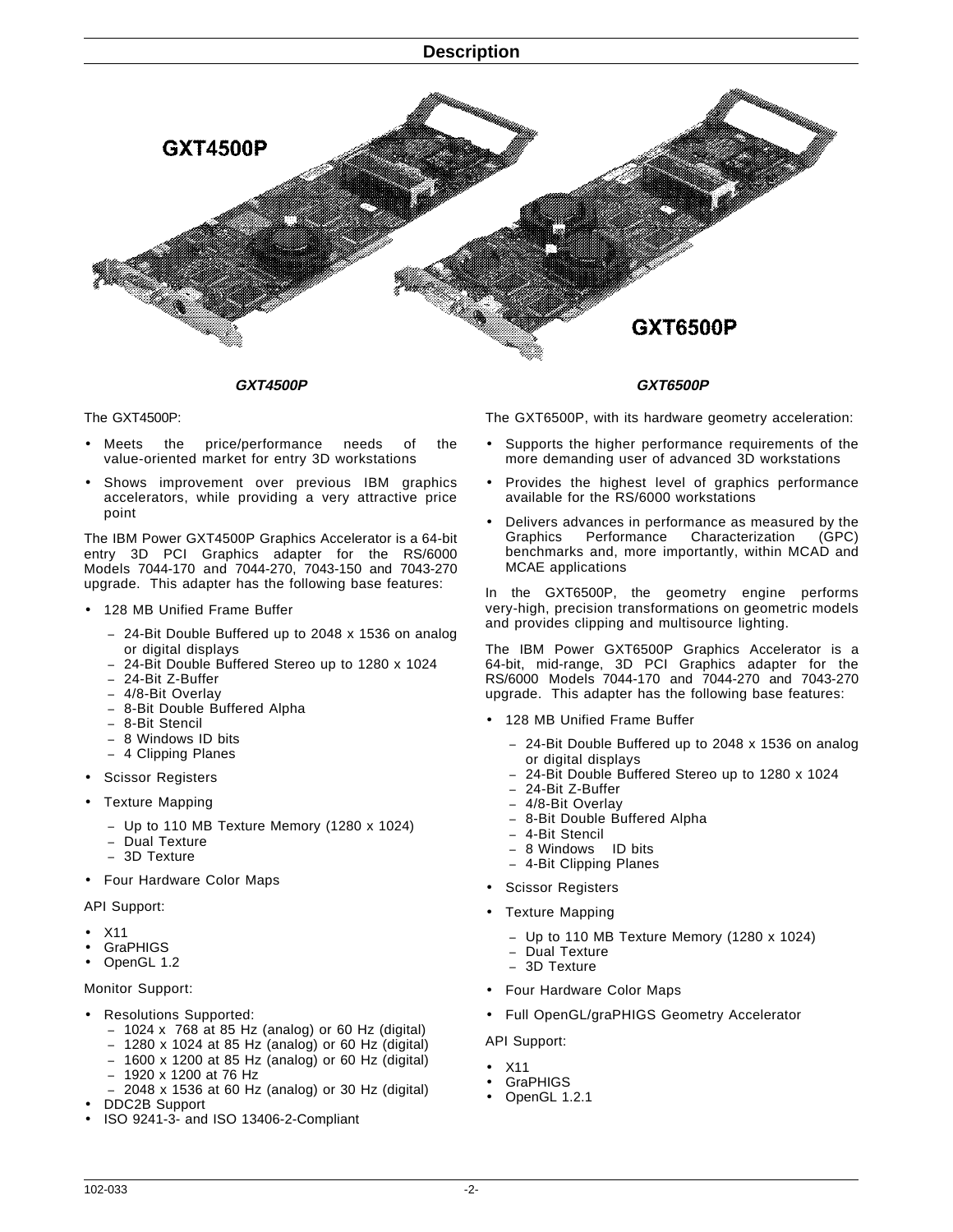

**GXT4500P**

The GXT4500P:

- Meets the price/performance needs of the value-oriented market for entry 3D workstations
- Shows improvement over previous IBM graphics accelerators, while providing a very attractive price point

The IBM Power GXT4500P Graphics Accelerator is a 64-bit entry 3D PCI Graphics adapter for the RS/6000 Models 7044-170 and 7044-270, 7043-150 and 7043-270 upgrade. This adapter has the following base features:

- 128 MB Unified Frame Buffer
	- − 24-Bit Double Buffered up to 2048 x 1536 on analog or digital displays
	- − 24-Bit Double Buffered Stereo up to 1280 x 1024
	- − 24-Bit Z-Buffer
	- − 4/8-Bit Overlay − 8-Bit Double Buffered Alpha
	- − 8-Bit Stencil
	- − 8 Windows ID bits
	- − 4 Clipping Planes
- Scissor Registers
- Texture Mapping
	- − Up to 110 MB Texture Memory (1280 x 1024)
	- − Dual Texture
	- − 3D Texture
- Four Hardware Color Maps

API Support:

- X11
- **GraPHIGS**
- OpenGL 1.2

#### Monitor Support:

- Resolutions Supported:
	- − 1024 x 768 at 85 Hz (analog) or 60 Hz (digital)
	- − 1280 x 1024 at 85 Hz (analog) or 60 Hz (digital)
	- − 1600 x 1200 at 85 Hz (analog) or 60 Hz (digital)
	- − 1920 x 1200 at 76 Hz
	- − 2048 x 1536 at 60 Hz (analog) or 30 Hz (digital)
- DDC2B Support
- ISO 9241-3- and ISO 13406-2-Compliant

The GXT6500P, with its hardware geometry acceleration:

**GXT6500P**

- Supports the higher performance requirements of the more demanding user of advanced 3D workstations
- Provides the highest level of graphics performance available for the RS/6000 workstations
- Delivers advances in performance as measured by the Graphics Performance Characterization (GPC) Characterization benchmarks and, more importantly, within MCAD and MCAE applications

In the GXT6500P, the geometry engine performs very-high, precision transformations on geometric models and provides clipping and multisource lighting.

The IBM Power GXT6500P Graphics Accelerator is a 64-bit, mid-range, 3D PCI Graphics adapter for the RS/6000 Models 7044-170 and 7044-270 and 7043-270 upgrade. This adapter has the following base features:

- 128 MB Unified Frame Buffer
	- − 24-Bit Double Buffered up to 2048 x 1536 on analog or digital displays
	- − 24-Bit Double Buffered Stereo up to 1280 x 1024
	- − 24-Bit Z-Buffer
	- − 4/8-Bit Overlay
	- − 8-Bit Double Buffered Alpha
	- − 4-Bit Stencil
	- − 8 Windows ID bits
	- − 4-Bit Clipping Planes
- Scissor Registers
- Texture Mapping
	- − Up to 110 MB Texture Memory (1280 x 1024)
	- Dual Texture
	- − 3D Texture
- Four Hardware Color Maps
- Full OpenGL/graPHIGS Geometry Accelerator

#### API Support:

- X11
- **GraPHIGS**
- OpenGL 1.2.1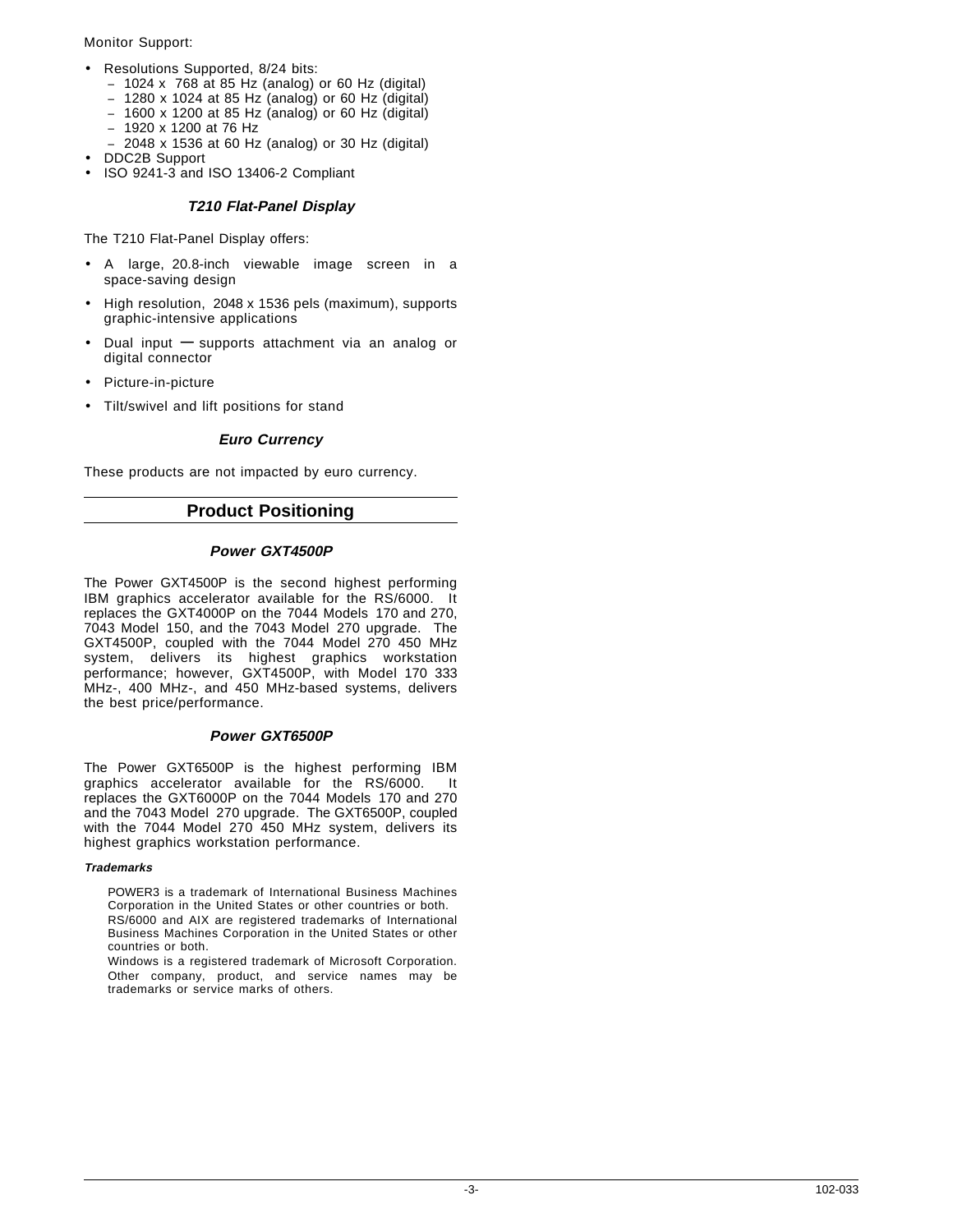#### Monitor Support:

- Resolutions Supported, 8/24 bits:
	- − 1024 x 768 at 85 Hz (analog) or 60 Hz (digital)
	- − 1280 x 1024 at 85 Hz (analog) or 60 Hz (digital)
	- − 1600 x 1200 at 85 Hz (analog) or 60 Hz (digital)
	- − 1920 x 1200 at 76 Hz
	- − 2048 x 1536 at 60 Hz (analog) or 30 Hz (digital)
- DDC2B Support
- ISO 9241-3 and ISO 13406-2 Compliant

#### **T210 Flat-Panel Display**

The T210 Flat-Panel Display offers:

- A large, 20.8-inch viewable image screen in a space-saving design
- High resolution, 2048 x 1536 pels (maximum), supports graphic-intensive applications
- Dual input **—** supports attachment via an analog or digital connector
- Picture-in-picture
- Tilt/swivel and lift positions for stand

#### **Euro Currency**

These products are not impacted by euro currency.

## **Product Positioning**

#### **Power GXT4500P**

The Power GXT4500P is the second highest performing IBM graphics accelerator available for the RS/6000. It replaces the GXT4000P on the 7044 Models 170 and 270, 7043 Model 150, and the 7043 Model 270 upgrade. The GXT4500P, coupled with the 7044 Model 270 450 MHz system, delivers its highest graphics workstation performance; however, GXT4500P, with Model 170 333 MHz-, 400 MHz-, and 450 MHz-based systems, delivers the best price/performance.

#### **Power GXT6500P**

The Power GXT6500P is the highest performing IBM graphics accelerator available for the RS/6000. It replaces the GXT6000P on the 7044 Models 170 and 270 and the 7043 Model 270 upgrade. The GXT6500P, coupled with the 7044 Model 270 450 MHz system, delivers its highest graphics workstation performance.

#### **Trademarks**

- POWER3 is a trademark of International Business Machines Corporation in the United States or other countries or both. RS/6000 and AIX are registered trademarks of International Business Machines Corporation in the United States or other countries or both.
- Windows is a registered trademark of Microsoft Corporation. Other company, product, and service names may be trademarks or service marks of others.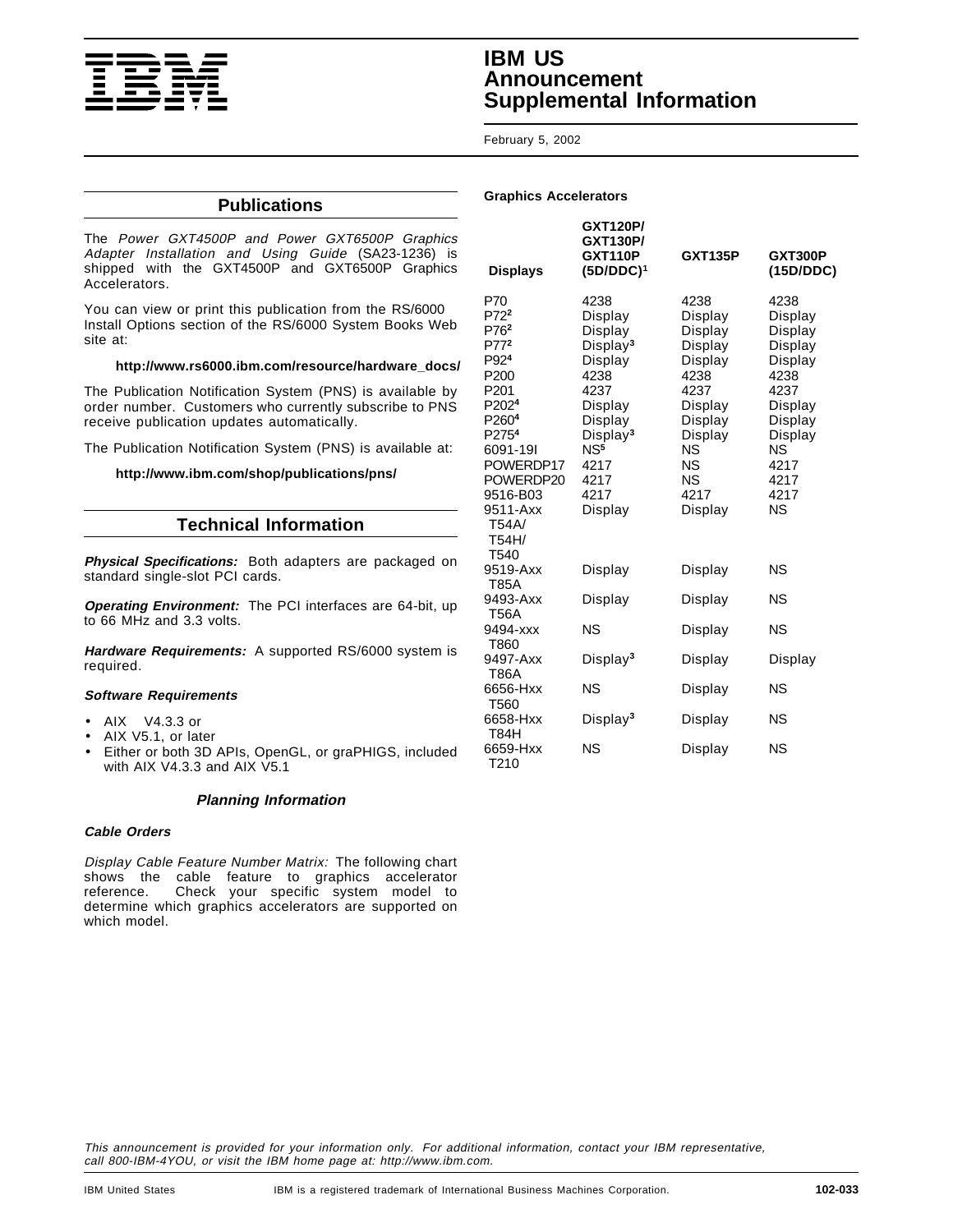

# **IBM US Announcement Supplemental Information**

#### February 5, 2002

**Graphics Accelerators**

#### **Publications**

The Power GXT4500P and Power GXT6500P Graphics Adapter Installation and Using Guide (SA23-1236) is shipped with the GXT4500P and GXT6500P Graphics Accelerators.

You can view or print this publication from the RS/6000 Install Options section of the RS/6000 System Books Web site at:

#### **http://www.rs6000.ibm.com/resource/hardware\_docs/**

The Publication Notification System (PNS) is available by order number. Customers who currently subscribe to PNS receive publication updates automatically.

The Publication Notification System (PNS) is available at:

#### **http://www.ibm.com/shop/publications/pns/**

#### **Technical Information**

**Physical Specifications:** Both adapters are packaged on standard single-slot PCI cards.

**Operating Environment:** The PCI interfaces are 64-bit, up to 66 MHz and 3.3 volts.

**Hardware Requirements:** A supported RS/6000 system is required.

#### **Software Requirements**

- AIX<sup>®</sup> V4.3.3 or
- AIX V5.1, or later
- Either or both 3D APIs, OpenGL, or graPHIGS, included with AIX V4.3.3 and AIX V5.1

#### **Planning Information**

#### **Cable Orders**

Display Cable Feature Number Matrix: The following chart shows the cable feature to graphics accelerator reference. Check your specific system model to determine which graphics accelerators are supported on which model.

| <b>Displays</b>                                                                                                                                                                                                                                    | <b>GXT120P/</b><br><b>GXT130P/</b><br><b>GXT110P</b><br>$(5D/DDC)^1$                                                                                                              | <b>GXT135P</b>                                                                                                                                       | GXT300P<br>(15D/DDC)                                                                                                                  |
|----------------------------------------------------------------------------------------------------------------------------------------------------------------------------------------------------------------------------------------------------|-----------------------------------------------------------------------------------------------------------------------------------------------------------------------------------|------------------------------------------------------------------------------------------------------------------------------------------------------|---------------------------------------------------------------------------------------------------------------------------------------|
| P70<br>P72 <sup>2</sup><br>P76 <sup>2</sup><br>P77 <sup>2</sup><br>P92 <sup>4</sup><br>P200<br>P201<br>P202 <sup>4</sup><br>P260 <sup>4</sup><br>P275 <sup>4</sup><br>6091-191<br>POWERDP17<br>POWERDP20<br>9516-B03<br>9511-Axx<br>T54A/<br>T54H/ | 4238<br>Display<br>Display<br>Display <sup>3</sup><br>Display<br>4238<br>4237<br>Display<br>Display<br>Display <sup>3</sup><br>NS <sup>5</sup><br>4217<br>4217<br>4217<br>Display | 4238<br>Display<br>Display<br>Display<br>Display<br>4238<br>4237<br>Display<br>Display<br>Display<br>ΝS<br><b>NS</b><br><b>NS</b><br>4217<br>Display | 4238<br>Display<br>Display<br>Display<br>Display<br>4238<br>4237<br>Display<br>Display<br>Display<br>ΝS<br>4217<br>4217<br>4217<br>ΝS |
| T540<br>9519-Axx                                                                                                                                                                                                                                   | Display                                                                                                                                                                           | Display                                                                                                                                              | <b>NS</b>                                                                                                                             |
| T85A<br>9493-Axx<br><b>T56A</b>                                                                                                                                                                                                                    | Display                                                                                                                                                                           | Display                                                                                                                                              | <b>NS</b>                                                                                                                             |
| 9494-xxx<br>T860                                                                                                                                                                                                                                   | <b>NS</b>                                                                                                                                                                         | Display                                                                                                                                              | <b>NS</b>                                                                                                                             |
| 9497-Axx<br>T86A                                                                                                                                                                                                                                   | Display <sup>3</sup>                                                                                                                                                              | Display                                                                                                                                              | Display                                                                                                                               |
| 6656-Hxx<br>T560                                                                                                                                                                                                                                   | NS                                                                                                                                                                                | Display                                                                                                                                              | NS                                                                                                                                    |
| 6658-Hxx<br>T84H                                                                                                                                                                                                                                   | Display <sup>3</sup>                                                                                                                                                              | Display                                                                                                                                              | NS                                                                                                                                    |
| 6659-Hxx<br>T210                                                                                                                                                                                                                                   | NS                                                                                                                                                                                | Display                                                                                                                                              | ΝS                                                                                                                                    |

This announcement is provided for your information only. For additional information, contact your IBM representative, call 800-IBM-4YOU, or visit the IBM home page at: http://www.ibm.com.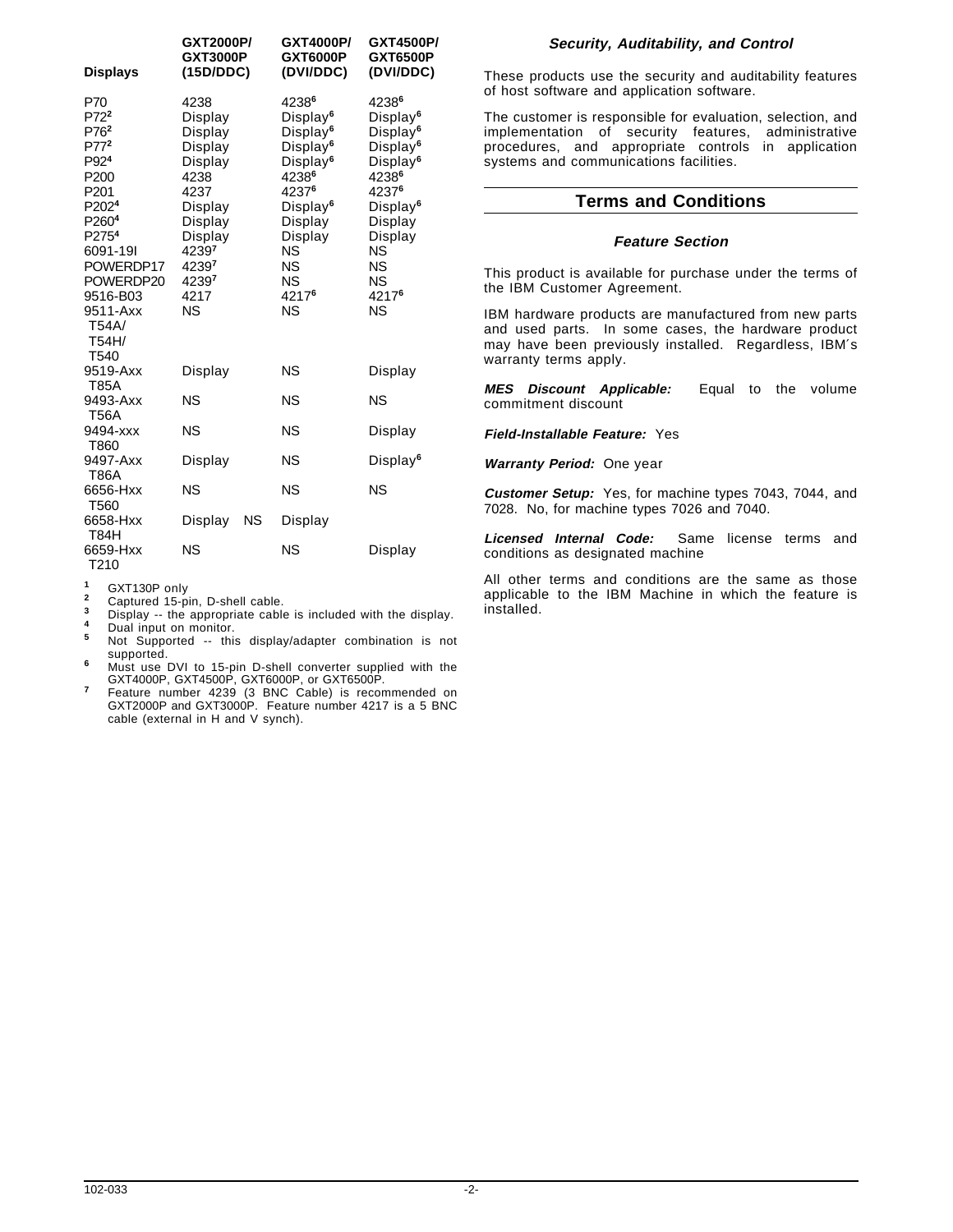| <b>Displays</b>                                                                                                                                                                                                                                                            | GXT2000P/<br><b>GXT3000P</b><br>(15D/DDC)                                                                                                  |    | GXT4000P/<br><b>GXT6000P</b><br>(DVI/DDC)                                                                                                                                                                     | GXT4500P/<br>GXT6500P<br>(DVI/DDC)                                                                                                                                                                                                 |
|----------------------------------------------------------------------------------------------------------------------------------------------------------------------------------------------------------------------------------------------------------------------------|--------------------------------------------------------------------------------------------------------------------------------------------|----|---------------------------------------------------------------------------------------------------------------------------------------------------------------------------------------------------------------|------------------------------------------------------------------------------------------------------------------------------------------------------------------------------------------------------------------------------------|
| P70<br>P72 <sup>2</sup><br>P76 <sup>2</sup><br>P77 <sup>2</sup><br>P92 <sup>4</sup><br>P <sub>200</sub><br>P <sub>201</sub><br>P <sub>2024</sub><br>P260 <sup>4</sup><br>P275 <sup>4</sup><br>6091-191<br>POWERDP17<br>POWERDP20<br>9516-B03<br>9511-Axx<br>T54A/<br>T54H/ | 4238<br>Display<br>Display<br>Display<br>Display<br>4238<br>4237<br>Display<br>Display<br>Display<br>42397<br>42397<br>42397<br>4217<br>ΝS |    | 42386<br>Display <sup>6</sup><br>Display <sup>6</sup><br>Display <sup>6</sup><br>Display <sup>6</sup><br>42386<br>42376<br>Display <sup>6</sup><br>Display<br>Display<br><b>NS</b><br>NS<br>NS<br>42176<br>NS | 42386<br>Display <sup>6</sup><br>Display <sup>6</sup><br>Display <sup>6</sup><br>Display <sup>6</sup><br>42386<br>42376<br>Display <sup>6</sup><br>Display<br>Display<br><b>NS</b><br><b>NS</b><br><b>NS</b><br>42176<br><b>NS</b> |
| T540<br>9519-Axx                                                                                                                                                                                                                                                           | Display                                                                                                                                    |    | NS                                                                                                                                                                                                            | Display                                                                                                                                                                                                                            |
| <b>T85A</b><br>9493-Axx<br><b>T56A</b>                                                                                                                                                                                                                                     | NS                                                                                                                                         |    | NS                                                                                                                                                                                                            | <b>NS</b>                                                                                                                                                                                                                          |
| 9494-xxx<br>T860                                                                                                                                                                                                                                                           | NS                                                                                                                                         |    | NS                                                                                                                                                                                                            | Display                                                                                                                                                                                                                            |
| 9497-Axx<br><b>T86A</b>                                                                                                                                                                                                                                                    | Display                                                                                                                                    |    | NS                                                                                                                                                                                                            | Display <sup>6</sup>                                                                                                                                                                                                               |
| 6656-Hxx<br>T560                                                                                                                                                                                                                                                           | NS                                                                                                                                         |    | NS                                                                                                                                                                                                            | <b>NS</b>                                                                                                                                                                                                                          |
| 6658-Hxx<br><b>T84H</b>                                                                                                                                                                                                                                                    | Display                                                                                                                                    | ΝS | Display                                                                                                                                                                                                       |                                                                                                                                                                                                                                    |
| 6659-Hxx<br>T210                                                                                                                                                                                                                                                           | NS                                                                                                                                         |    | <b>NS</b>                                                                                                                                                                                                     | Display                                                                                                                                                                                                                            |

- 
- 
- <sup>1</sup> GXT130P only<br>
<sup>2</sup> Captured 15-pin, D-shell cable.<br>
<sup>3</sup> Display -- the appropriate cable is included with the display.<br>
<sup>4</sup> Dual input on monitor.<br>
<sup>5</sup> Not Supported -- this display/adapter combination is not supported.

<sup>6</sup> Must use DVI to 15-pin D-shell converter supplied with the<br>
GXT4000P, GXT4500P, GXT6000P, or GXT6500P.

GXT4000P, GXT4500P, GXT6000P, or GXT6500P. **<sup>7</sup>** Feature number 4239 (3 BNC Cable) is recommended on GXT2000P and GXT3000P. Feature number 4217 is a 5 BNC cable (external in H and V synch).

#### **Security, Auditability, and Control**

These products use the security and auditability features of host software and application software.

The customer is responsible for evaluation, selection, and implementation of security features, administrative procedures, and appropriate controls in application systems and communications facilities.

#### **Terms and Conditions**

#### **Feature Section**

This product is available for purchase under the terms of the IBM Customer Agreement.

IBM hardware products are manufactured from new parts and used parts. In some cases, the hardware product may have been previously installed. Regardless, IBM′s warranty terms apply.

**MES Discount Applicable:** Equal to the volume commitment discount

**Field-Installable Feature:** Yes

**Warranty Period:** One year

**Customer Setup:** Yes, for machine types 7043, 7044, and 7028. No, for machine types 7026 and 7040.

**Licensed Internal Code:** Same license terms and conditions as designated machine

All other terms and conditions are the same as those applicable to the IBM Machine in which the feature is installed.